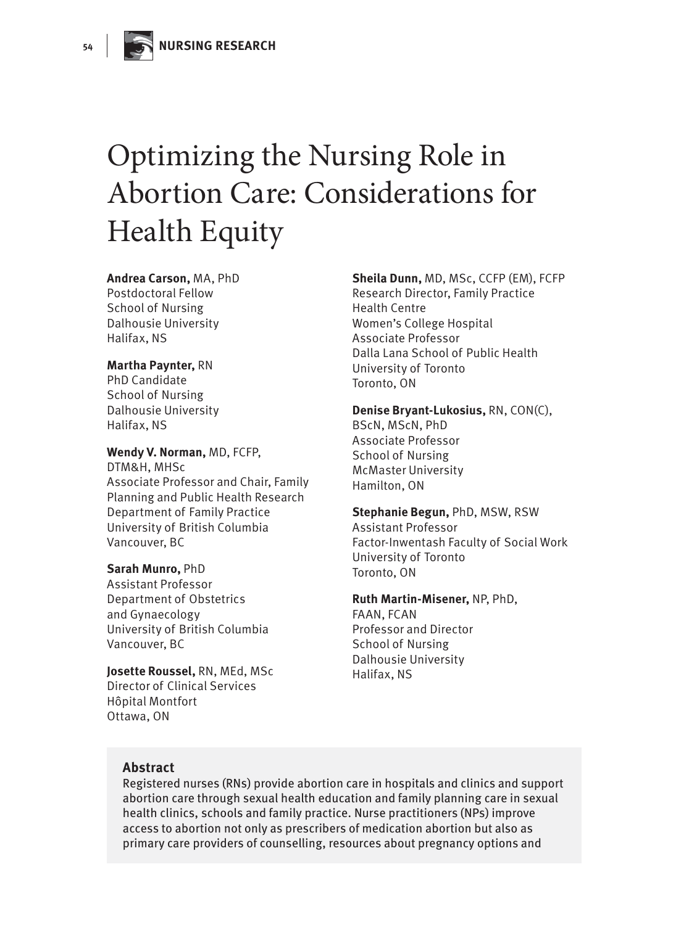# Optimizing the Nursing Role in Abortion Care: Considerations for Health Equity

#### **Andrea Carson,** MA, PhD Postdoctoral Fellow School of Nursing Dalhousie University Halifax, NS

#### **Martha Paynter,** RN

PhD Candidate School of Nursing Dalhousie University Halifax, NS

**Wendy V. Norman,** MD, FCFP, DTM&H, MHSc Associate Professor and Chair, Family Planning and Public Health Research Department of Family Practice University of British Columbia Vancouver, BC

**Sarah Munro,** PhD Assistant Professor Department of Obstetrics and Gynaecology University of British Columbia

**Josette Roussel,** RN, MEd, MSc Director of Clinical Services Hôpital Montfort Ottawa, ON

#### **Sheila Dunn,** MD, MSc, CCFP (EM), FCFP Research Director, Family Practice Health Centre Women's College Hospital Associate Professor Dalla Lana School of Public Health University of Toronto Toronto, ON

**Denise Bryant-Lukosius,** RN, CON(C), BScN, MScN, PhD Associate Professor School of Nursing McMaster University Hamilton, ON

**Stephanie Begun,** PhD, MSW, RSW Assistant Professor Factor-Inwentash Faculty of Social Work University of Toronto Toronto, ON

**Ruth Martin-Misener,** NP, PhD, FAAN, FCAN Professor and Director School of Nursing Dalhousie University Halifax, NS

#### **Abstract**

Vancouver, BC

Registered nurses (RNs) provide abortion care in hospitals and clinics and support abortion care through sexual health education and family planning care in sexual health clinics, schools and family practice. Nurse practitioners (NPs) improve access to abortion not only as prescribers of medication abortion but also as primary care providers of counselling, resources about pregnancy options and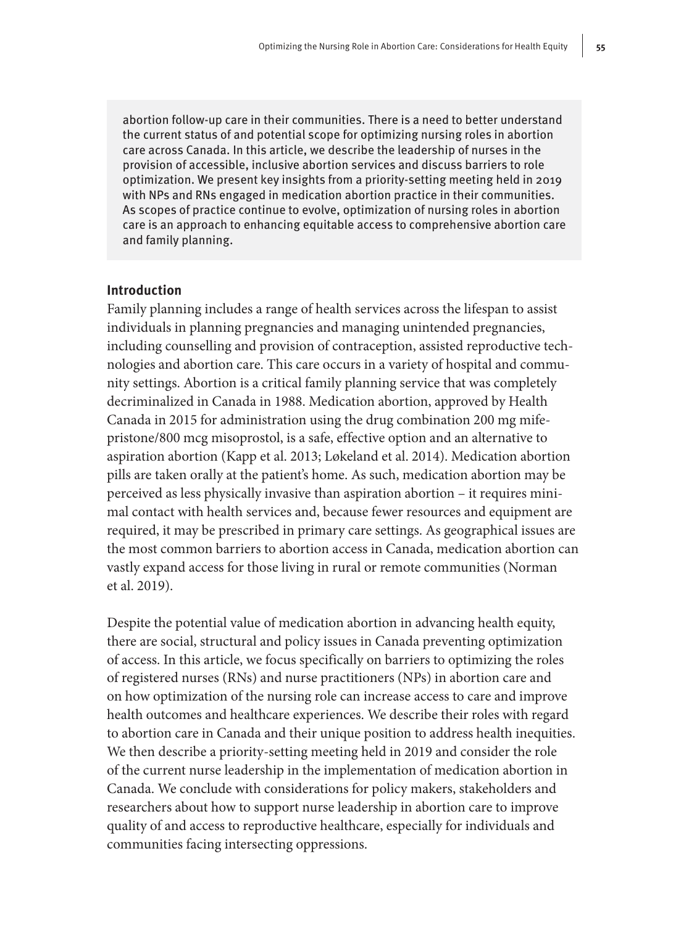abortion follow-up care in their communities. There is a need to better understand the current status of and potential scope for optimizing nursing roles in abortion care across Canada. In this article, we describe the leadership of nurses in the provision of accessible, inclusive abortion services and discuss barriers to role optimization. We present key insights from a priority-setting meeting held in 2019 with NPs and RNs engaged in medication abortion practice in their communities. As scopes of practice continue to evolve, optimization of nursing roles in abortion care is an approach to enhancing equitable access to comprehensive abortion care and family planning.

#### **Introduction**

Family planning includes a range of health services across the lifespan to assist individuals in planning pregnancies and managing unintended pregnancies, including counselling and provision of contraception, assisted reproductive technologies and abortion care. This care occurs in a variety of hospital and community settings. Abortion is a critical family planning service that was completely decriminalized in Canada in 1988. Medication abortion, approved by Health Canada in 2015 for administration using the drug combination 200 mg mifepristone/800 mcg misoprostol, is a safe, effective option and an alternative to aspiration abortion (Kapp et al. 2013; Løkeland et al. 2014). Medication abortion pills are taken orally at the patient's home. As such, medication abortion may be perceived as less physically invasive than aspiration abortion – it requires minimal contact with health services and, because fewer resources and equipment are required, it may be prescribed in primary care settings. As geographical issues are the most common barriers to abortion access in Canada, medication abortion can vastly expand access for those living in rural or remote communities (Norman et al. 2019).

Despite the potential value of medication abortion in advancing health equity, there are social, structural and policy issues in Canada preventing optimization of access. In this article, we focus specifically on barriers to optimizing the roles of registered nurses (RNs) and nurse practitioners (NPs) in abortion care and on how optimization of the nursing role can increase access to care and improve health outcomes and healthcare experiences. We describe their roles with regard to abortion care in Canada and their unique position to address health inequities. We then describe a priority-setting meeting held in 2019 and consider the role of the current nurse leadership in the implementation of medication abortion in Canada. We conclude with considerations for policy makers, stakeholders and researchers about how to support nurse leadership in abortion care to improve quality of and access to reproductive healthcare, especially for individuals and communities facing intersecting oppressions.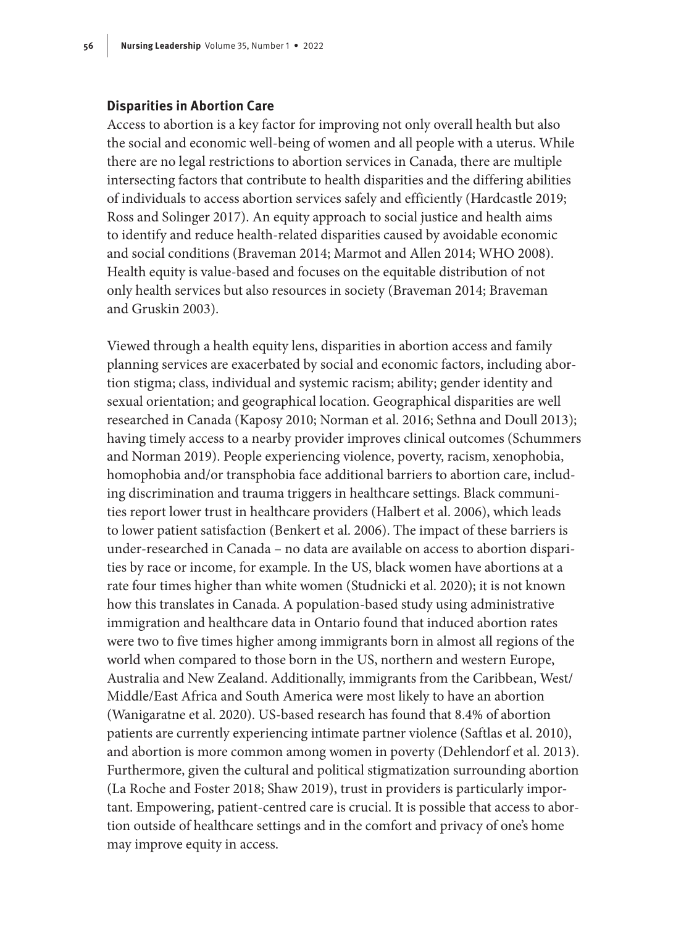#### **Disparities in Abortion Care**

Access to abortion is a key factor for improving not only overall health but also the social and economic well-being of women and all people with a uterus. While there are no legal restrictions to abortion services in Canada, there are multiple intersecting factors that contribute to health disparities and the differing abilities of individuals to access abortion services safely and efficiently (Hardcastle 2019; Ross and Solinger 2017). An equity approach to social justice and health aims to identify and reduce health-related disparities caused by avoidable economic and social conditions (Braveman 2014; Marmot and Allen 2014; WHO 2008). Health equity is value-based and focuses on the equitable distribution of not only health services but also resources in society (Braveman 2014; Braveman and Gruskin 2003).

Viewed through a health equity lens, disparities in abortion access and family planning services are exacerbated by social and economic factors, including abortion stigma; class, individual and systemic racism; ability; gender identity and sexual orientation; and geographical location. Geographical disparities are well researched in Canada (Kaposy 2010; Norman et al. 2016; Sethna and Doull 2013); having timely access to a nearby provider improves clinical outcomes (Schummers and Norman 2019). People experiencing violence, poverty, racism, xenophobia, homophobia and/or transphobia face additional barriers to abortion care, including discrimination and trauma triggers in healthcare settings. Black communities report lower trust in healthcare providers (Halbert et al. 2006), which leads to lower patient satisfaction (Benkert et al. 2006). The impact of these barriers is under-researched in Canada – no data are available on access to abortion disparities by race or income, for example. In the US, black women have abortions at a rate four times higher than white women (Studnicki et al. 2020); it is not known how this translates in Canada. A population-based study using administrative immigration and healthcare data in Ontario found that induced abortion rates were two to five times higher among immigrants born in almost all regions of the world when compared to those born in the US, northern and western Europe, Australia and New Zealand. Additionally, immigrants from the Caribbean, West/ Middle/East Africa and South America were most likely to have an abortion (Wanigaratne et al. 2020). US-based research has found that 8.4% of abortion patients are currently experiencing intimate partner violence (Saftlas et al. 2010), and abortion is more common among women in poverty (Dehlendorf et al. 2013). Furthermore, given the cultural and political stigmatization surrounding abortion (La Roche and Foster 2018; Shaw 2019), trust in providers is particularly important. Empowering, patient-centred care is crucial. It is possible that access to abortion outside of healthcare settings and in the comfort and privacy of one's home may improve equity in access.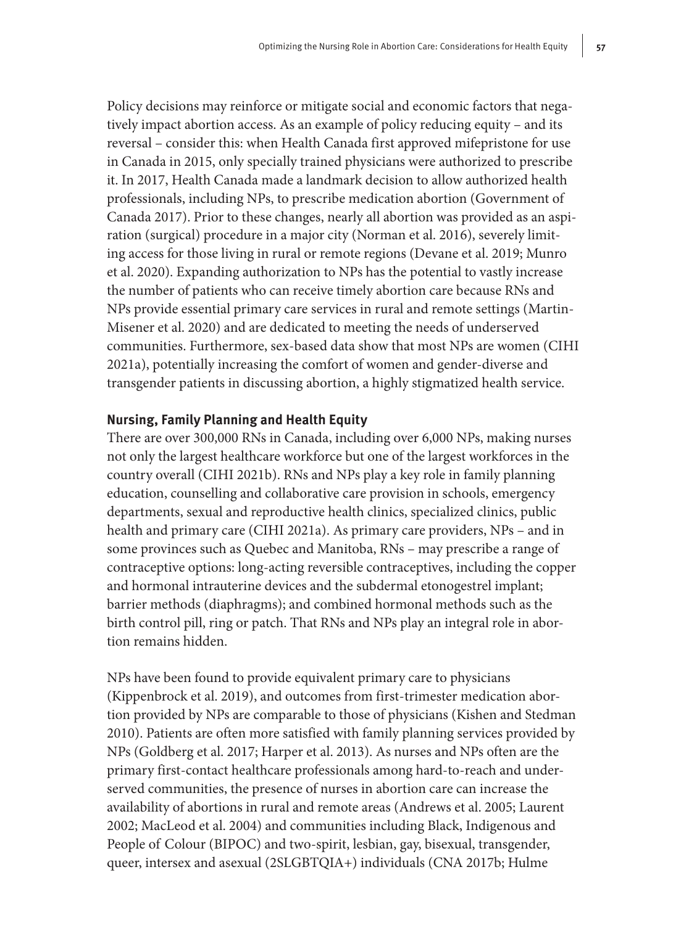Policy decisions may reinforce or mitigate social and economic factors that negatively impact abortion access. As an example of policy reducing equity – and its reversal – consider this: when Health Canada first approved mifepristone for use in Canada in 2015, only specially trained physicians were authorized to prescribe it. In 2017, Health Canada made a landmark decision to allow authorized health professionals, including NPs, to prescribe medication abortion (Government of Canada 2017). Prior to these changes, nearly all abortion was provided as an aspiration (surgical) procedure in a major city (Norman et al. 2016), severely limiting access for those living in rural or remote regions (Devane et al. 2019; Munro et al. 2020). Expanding authorization to NPs has the potential to vastly increase the number of patients who can receive timely abortion care because RNs and NPs provide essential primary care services in rural and remote settings (Martin-Misener et al. 2020) and are dedicated to meeting the needs of underserved communities. Furthermore, sex-based data show that most NPs are women (CIHI 2021a), potentially increasing the comfort of women and gender-diverse and transgender patients in discussing abortion, a highly stigmatized health service.

#### **Nursing, Family Planning and Health Equity**

There are over 300,000 RNs in Canada, including over 6,000 NPs, making nurses not only the largest healthcare workforce but one of the largest workforces in the country overall (CIHI 2021b). RNs and NPs play a key role in family planning education, counselling and collaborative care provision in schools, emergency departments, sexual and reproductive health clinics, specialized clinics, public health and primary care (CIHI 2021a). As primary care providers, NPs – and in some provinces such as Quebec and Manitoba, RNs – may prescribe a range of contraceptive options: long-acting reversible contraceptives, including the copper and hormonal intrauterine devices and the subdermal etonogestrel implant; barrier methods (diaphragms); and combined hormonal methods such as the birth control pill, ring or patch. That RNs and NPs play an integral role in abortion remains hidden.

NPs have been found to provide equivalent primary care to physicians (Kippenbrock et al. 2019), and outcomes from first-trimester medication abortion provided by NPs are comparable to those of physicians (Kishen and Stedman 2010). Patients are often more satisfied with family planning services provided by NPs (Goldberg et al. 2017; Harper et al. 2013). As nurses and NPs often are the primary first-contact healthcare professionals among hard-to-reach and underserved communities, the presence of nurses in abortion care can increase the availability of abortions in rural and remote areas (Andrews et al. 2005; Laurent 2002; MacLeod et al. 2004) and communities including Black, Indigenous and People of Colour (BIPOC) and two-spirit, lesbian, gay, bisexual, transgender, queer, intersex and asexual (2SLGBTQIA+) individuals (CNA 2017b; Hulme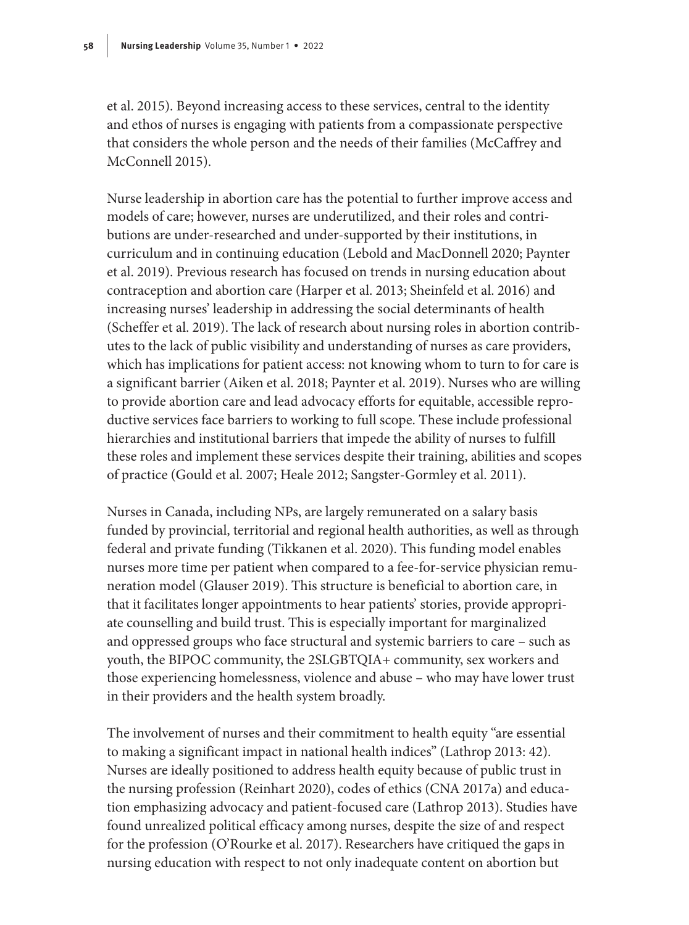et al. 2015). Beyond increasing access to these services, central to the identity and ethos of nurses is engaging with patients from a compassionate perspective that considers the whole person and the needs of their families (McCaffrey and McConnell 2015).

Nurse leadership in abortion care has the potential to further improve access and models of care; however, nurses are underutilized, and their roles and contributions are under-researched and under-supported by their institutions, in curriculum and in continuing education (Lebold and MacDonnell 2020; Paynter et al. 2019). Previous research has focused on trends in nursing education about contraception and abortion care (Harper et al. 2013; Sheinfeld et al. 2016) and increasing nurses' leadership in addressing the social determinants of health (Scheffer et al. 2019). The lack of research about nursing roles in abortion contributes to the lack of public visibility and understanding of nurses as care providers, which has implications for patient access: not knowing whom to turn to for care is a significant barrier (Aiken et al. 2018; Paynter et al. 2019). Nurses who are willing to provide abortion care and lead advocacy efforts for equitable, accessible reproductive services face barriers to working to full scope. These include professional hierarchies and institutional barriers that impede the ability of nurses to fulfill these roles and implement these services despite their training, abilities and scopes of practice (Gould et al. 2007; Heale 2012; Sangster‐Gormley et al. 2011).

Nurses in Canada, including NPs, are largely remunerated on a salary basis funded by provincial, territorial and regional health authorities, as well as through federal and private funding (Tikkanen et al. 2020). This funding model enables nurses more time per patient when compared to a fee-for-service physician remuneration model (Glauser 2019). This structure is beneficial to abortion care, in that it facilitates longer appointments to hear patients' stories, provide appropriate counselling and build trust. This is especially important for marginalized and oppressed groups who face structural and systemic barriers to care – such as youth, the BIPOC community, the 2SLGBTQIA+ community, sex workers and those experiencing homelessness, violence and abuse – who may have lower trust in their providers and the health system broadly.

The involvement of nurses and their commitment to health equity "are essential to making a significant impact in national health indices" (Lathrop 2013: 42). Nurses are ideally positioned to address health equity because of public trust in the nursing profession (Reinhart 2020), codes of ethics (CNA 2017a) and education emphasizing advocacy and patient-focused care (Lathrop 2013). Studies have found unrealized political efficacy among nurses, despite the size of and respect for the profession (O'Rourke et al. 2017). Researchers have critiqued the gaps in nursing education with respect to not only inadequate content on abortion but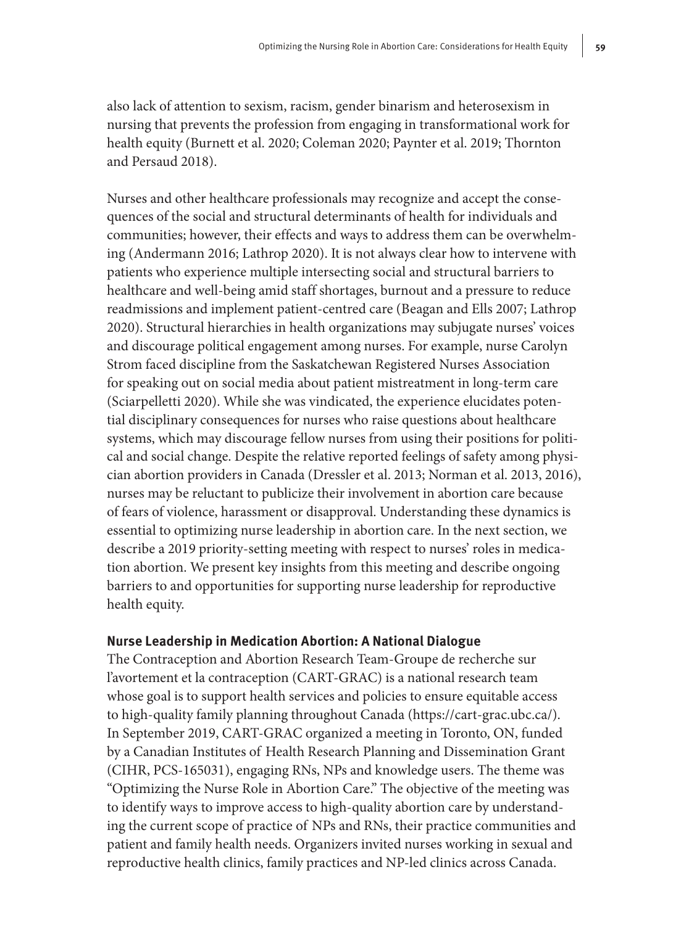also lack of attention to sexism, racism, gender binarism and heterosexism in nursing that prevents the profession from engaging in transformational work for health equity (Burnett et al. 2020; Coleman 2020; Paynter et al. 2019; Thornton and Persaud 2018).

Nurses and other healthcare professionals may recognize and accept the consequences of the social and structural determinants of health for individuals and communities; however, their effects and ways to address them can be overwhelming (Andermann 2016; Lathrop 2020). It is not always clear how to intervene with patients who experience multiple intersecting social and structural barriers to healthcare and well-being amid staff shortages, burnout and a pressure to reduce readmissions and implement patient-centred care (Beagan and Ells 2007; Lathrop 2020). Structural hierarchies in health organizations may subjugate nurses' voices and discourage political engagement among nurses. For example, nurse Carolyn Strom faced discipline from the Saskatchewan Registered Nurses Association for speaking out on social media about patient mistreatment in long-term care (Sciarpelletti 2020). While she was vindicated, the experience elucidates potential disciplinary consequences for nurses who raise questions about healthcare systems, which may discourage fellow nurses from using their positions for political and social change. Despite the relative reported feelings of safety among physician abortion providers in Canada (Dressler et al. 2013; Norman et al. 2013, 2016), nurses may be reluctant to publicize their involvement in abortion care because of fears of violence, harassment or disapproval. Understanding these dynamics is essential to optimizing nurse leadership in abortion care. In the next section, we describe a 2019 priority-setting meeting with respect to nurses' roles in medication abortion. We present key insights from this meeting and describe ongoing barriers to and opportunities for supporting nurse leadership for reproductive health equity.

#### **Nurse Leadership in Medication Abortion: A National Dialogue**

The Contraception and Abortion Research Team-Groupe de recherche sur l'avortement et la contraception (CART-GRAC) is a national research team whose goal is to support health services and policies to ensure equitable access to high-quality family planning throughout Canada ([https://cart-grac.ubc.ca/\)](https://cart-grac.ubc.ca/). In September 2019, CART-GRAC organized a meeting in Toronto, ON, funded by a Canadian Institutes of Health Research Planning and Dissemination Grant (CIHR, PCS-165031), engaging RNs, NPs and knowledge users. The theme was "Optimizing the Nurse Role in Abortion Care." The objective of the meeting was to identify ways to improve access to high-quality abortion care by understanding the current scope of practice of NPs and RNs, their practice communities and patient and family health needs. Organizers invited nurses working in sexual and reproductive health clinics, family practices and NP-led clinics across Canada.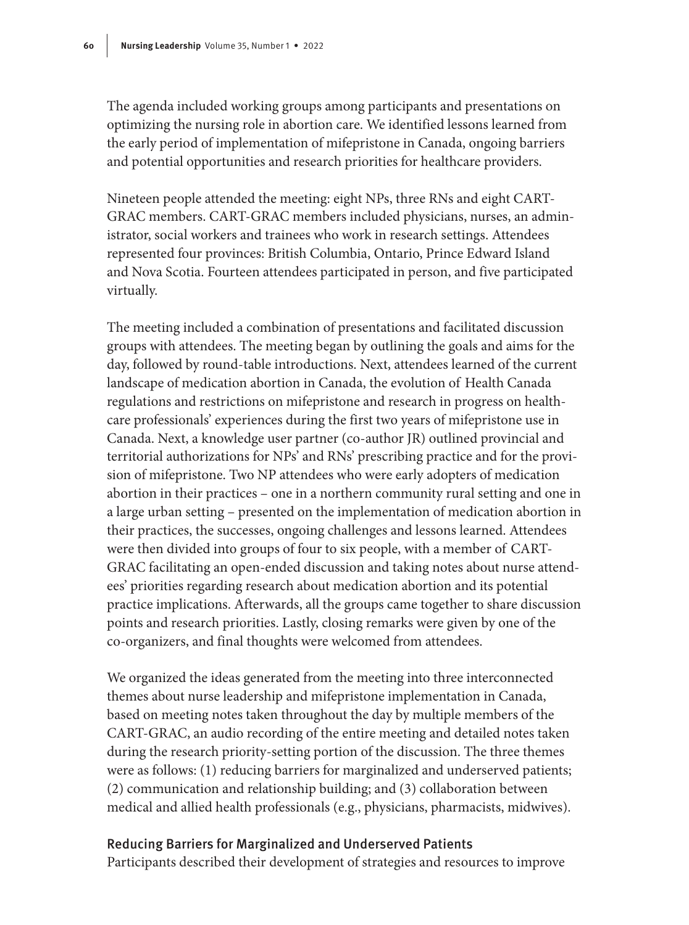The agenda included working groups among participants and presentations on optimizing the nursing role in abortion care. We identified lessons learned from the early period of implementation of mifepristone in Canada, ongoing barriers and potential opportunities and research priorities for healthcare providers.

Nineteen people attended the meeting: eight NPs, three RNs and eight CART-GRAC members. CART-GRAC members included physicians, nurses, an administrator, social workers and trainees who work in research settings. Attendees represented four provinces: British Columbia, Ontario, Prince Edward Island and Nova Scotia. Fourteen attendees participated in person, and five participated virtually.

The meeting included a combination of presentations and facilitated discussion groups with attendees. The meeting began by outlining the goals and aims for the day, followed by round-table introductions. Next, attendees learned of the current landscape of medication abortion in Canada, the evolution of Health Canada regulations and restrictions on mifepristone and research in progress on healthcare professionals' experiences during the first two years of mifepristone use in Canada. Next, a knowledge user partner (co-author JR) outlined provincial and territorial authorizations for NPs' and RNs' prescribing practice and for the provision of mifepristone. Two NP attendees who were early adopters of medication abortion in their practices – one in a northern community rural setting and one in a large urban setting – presented on the implementation of medication abortion in their practices, the successes, ongoing challenges and lessons learned. Attendees were then divided into groups of four to six people, with a member of CART-GRAC facilitating an open-ended discussion and taking notes about nurse attendees' priorities regarding research about medication abortion and its potential practice implications. Afterwards, all the groups came together to share discussion points and research priorities. Lastly, closing remarks were given by one of the co-organizers, and final thoughts were welcomed from attendees.

We organized the ideas generated from the meeting into three interconnected themes about nurse leadership and mifepristone implementation in Canada, based on meeting notes taken throughout the day by multiple members of the CART-GRAC, an audio recording of the entire meeting and detailed notes taken during the research priority-setting portion of the discussion. The three themes were as follows: (1) reducing barriers for marginalized and underserved patients; (2) communication and relationship building; and (3) collaboration between medical and allied health professionals (e.g., physicians, pharmacists, midwives).

#### Reducing Barriers for Marginalized and Underserved Patients

Participants described their development of strategies and resources to improve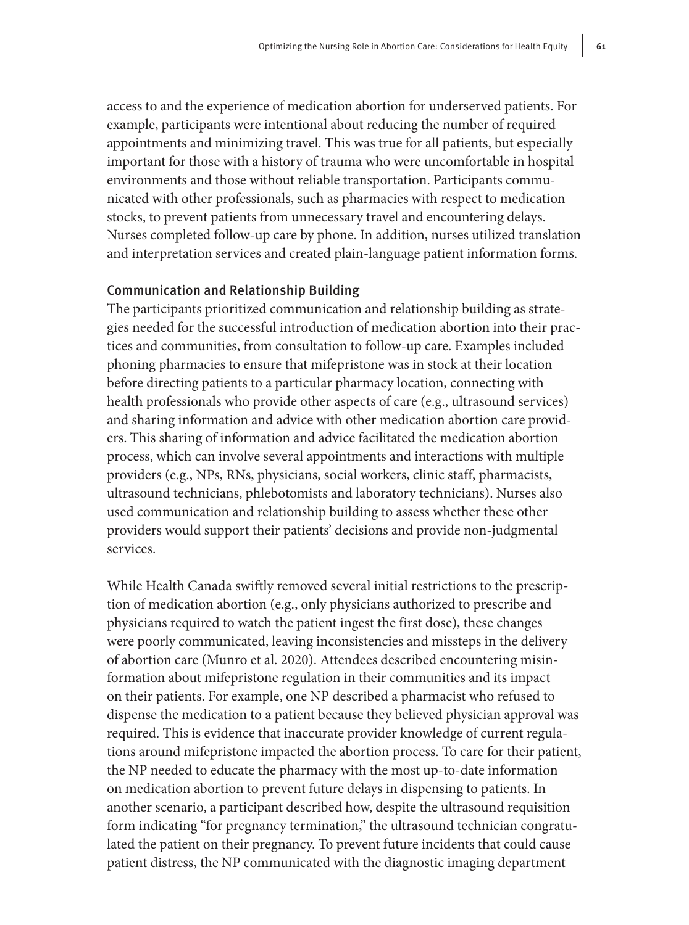access to and the experience of medication abortion for underserved patients. For example, participants were intentional about reducing the number of required appointments and minimizing travel. This was true for all patients, but especially important for those with a history of trauma who were uncomfortable in hospital environments and those without reliable transportation. Participants communicated with other professionals, such as pharmacies with respect to medication stocks, to prevent patients from unnecessary travel and encountering delays. Nurses completed follow-up care by phone. In addition, nurses utilized translation and interpretation services and created plain-language patient information forms.

#### Communication and Relationship Building

The participants prioritized communication and relationship building as strategies needed for the successful introduction of medication abortion into their practices and communities, from consultation to follow-up care. Examples included phoning pharmacies to ensure that mifepristone was in stock at their location before directing patients to a particular pharmacy location, connecting with health professionals who provide other aspects of care (e.g., ultrasound services) and sharing information and advice with other medication abortion care providers. This sharing of information and advice facilitated the medication abortion process, which can involve several appointments and interactions with multiple providers (e.g., NPs, RNs, physicians, social workers, clinic staff, pharmacists, ultrasound technicians, phlebotomists and laboratory technicians). Nurses also used communication and relationship building to assess whether these other providers would support their patients' decisions and provide non-judgmental services.

While Health Canada swiftly removed several initial restrictions to the prescription of medication abortion (e.g., only physicians authorized to prescribe and physicians required to watch the patient ingest the first dose), these changes were poorly communicated, leaving inconsistencies and missteps in the delivery of abortion care (Munro et al. 2020). Attendees described encountering misinformation about mifepristone regulation in their communities and its impact on their patients. For example, one NP described a pharmacist who refused to dispense the medication to a patient because they believed physician approval was required. This is evidence that inaccurate provider knowledge of current regulations around mifepristone impacted the abortion process. To care for their patient, the NP needed to educate the pharmacy with the most up-to-date information on medication abortion to prevent future delays in dispensing to patients. In another scenario, a participant described how, despite the ultrasound requisition form indicating "for pregnancy termination," the ultrasound technician congratulated the patient on their pregnancy. To prevent future incidents that could cause patient distress, the NP communicated with the diagnostic imaging department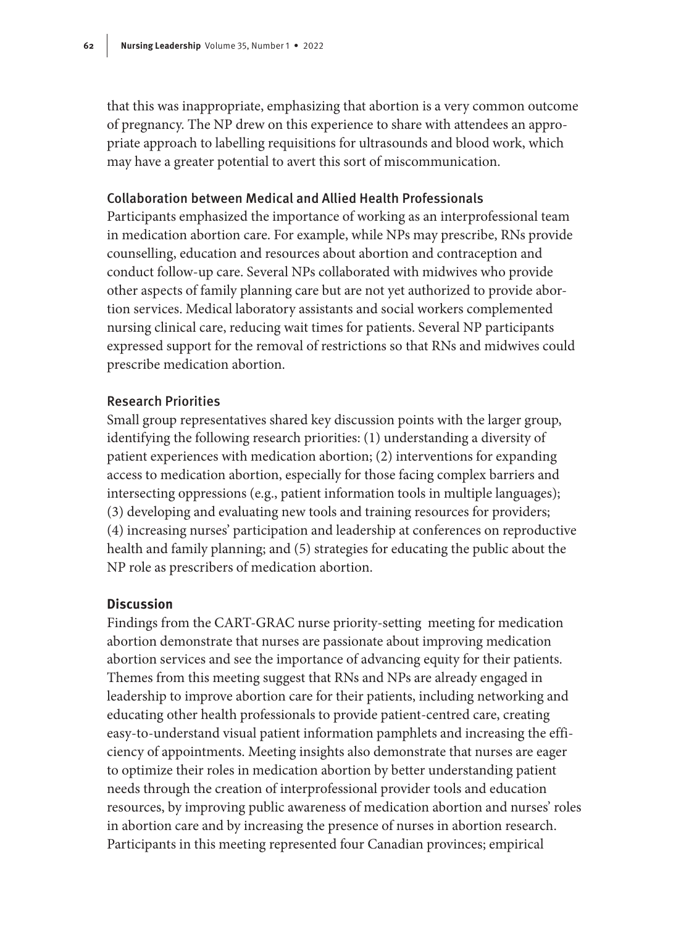that this was inappropriate, emphasizing that abortion is a very common outcome of pregnancy. The NP drew on this experience to share with attendees an appropriate approach to labelling requisitions for ultrasounds and blood work, which may have a greater potential to avert this sort of miscommunication.

#### Collaboration between Medical and Allied Health Professionals

Participants emphasized the importance of working as an interprofessional team in medication abortion care. For example, while NPs may prescribe, RNs provide counselling, education and resources about abortion and contraception and conduct follow-up care. Several NPs collaborated with midwives who provide other aspects of family planning care but are not yet authorized to provide abortion services. Medical laboratory assistants and social workers complemented nursing clinical care, reducing wait times for patients. Several NP participants expressed support for the removal of restrictions so that RNs and midwives could prescribe medication abortion.

#### Research Priorities

Small group representatives shared key discussion points with the larger group, identifying the following research priorities: (1) understanding a diversity of patient experiences with medication abortion; (2) interventions for expanding access to medication abortion, especially for those facing complex barriers and intersecting oppressions (e.g., patient information tools in multiple languages); (3) developing and evaluating new tools and training resources for providers; (4) increasing nurses' participation and leadership at conferences on reproductive health and family planning; and (5) strategies for educating the public about the NP role as prescribers of medication abortion.

#### **Discussion**

Findings from the CART-GRAC nurse priority-setting meeting for medication abortion demonstrate that nurses are passionate about improving medication abortion services and see the importance of advancing equity for their patients. Themes from this meeting suggest that RNs and NPs are already engaged in leadership to improve abortion care for their patients, including networking and educating other health professionals to provide patient-centred care, creating easy-to-understand visual patient information pamphlets and increasing the efficiency of appointments. Meeting insights also demonstrate that nurses are eager to optimize their roles in medication abortion by better understanding patient needs through the creation of interprofessional provider tools and education resources, by improving public awareness of medication abortion and nurses' roles in abortion care and by increasing the presence of nurses in abortion research. Participants in this meeting represented four Canadian provinces; empirical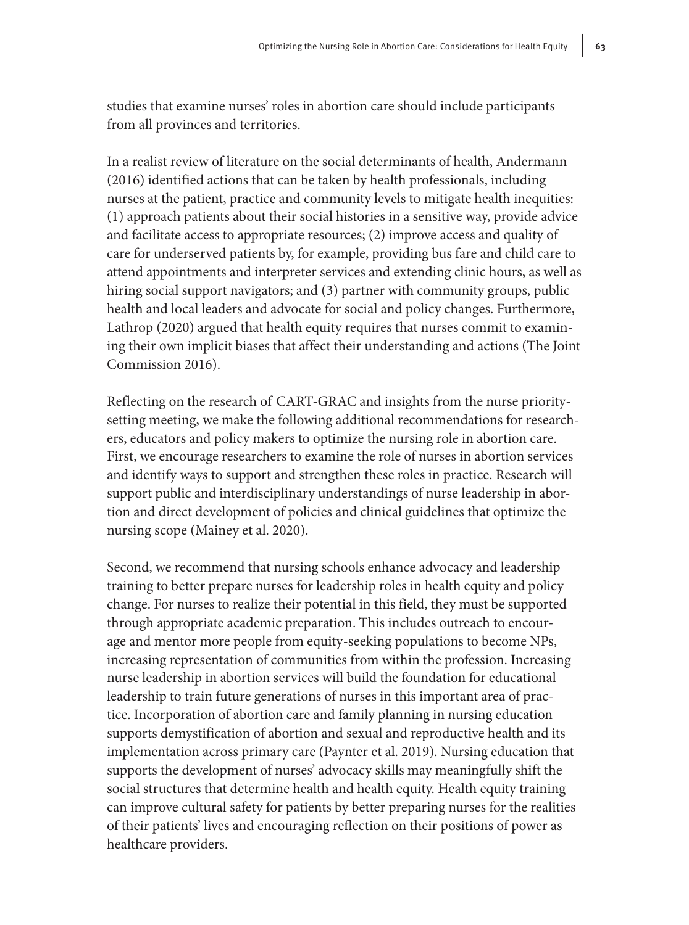studies that examine nurses' roles in abortion care should include participants from all provinces and territories.

In a realist review of literature on the social determinants of health, Andermann (2016) identified actions that can be taken by health professionals, including nurses at the patient, practice and community levels to mitigate health inequities: (1) approach patients about their social histories in a sensitive way, provide advice and facilitate access to appropriate resources; (2) improve access and quality of care for underserved patients by, for example, providing bus fare and child care to attend appointments and interpreter services and extending clinic hours, as well as hiring social support navigators; and (3) partner with community groups, public health and local leaders and advocate for social and policy changes. Furthermore, Lathrop (2020) argued that health equity requires that nurses commit to examining their own implicit biases that affect their understanding and actions (The Joint Commission 2016).

Reflecting on the research of CART-GRAC and insights from the nurse prioritysetting meeting, we make the following additional recommendations for researchers, educators and policy makers to optimize the nursing role in abortion care. First, we encourage researchers to examine the role of nurses in abortion services and identify ways to support and strengthen these roles in practice. Research will support public and interdisciplinary understandings of nurse leadership in abortion and direct development of policies and clinical guidelines that optimize the nursing scope (Mainey et al. 2020).

Second, we recommend that nursing schools enhance advocacy and leadership training to better prepare nurses for leadership roles in health equity and policy change. For nurses to realize their potential in this field, they must be supported through appropriate academic preparation. This includes outreach to encourage and mentor more people from equity-seeking populations to become NPs, increasing representation of communities from within the profession. Increasing nurse leadership in abortion services will build the foundation for educational leadership to train future generations of nurses in this important area of practice. Incorporation of abortion care and family planning in nursing education supports demystification of abortion and sexual and reproductive health and its implementation across primary care (Paynter et al. 2019). Nursing education that supports the development of nurses' advocacy skills may meaningfully shift the social structures that determine health and health equity. Health equity training can improve cultural safety for patients by better preparing nurses for the realities of their patients' lives and encouraging reflection on their positions of power as healthcare providers.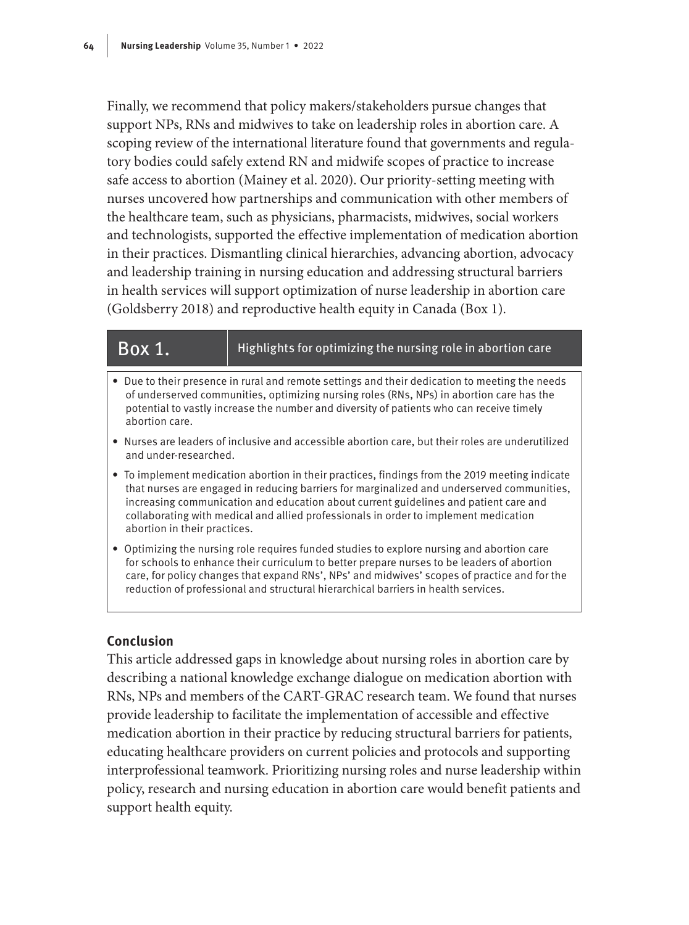Finally, we recommend that policy makers/stakeholders pursue changes that support NPs, RNs and midwives to take on leadership roles in abortion care. A scoping review of the international literature found that governments and regulatory bodies could safely extend RN and midwife scopes of practice to increase safe access to abortion (Mainey et al. 2020). Our priority-setting meeting with nurses uncovered how partnerships and communication with other members of the healthcare team, such as physicians, pharmacists, midwives, social workers and technologists, supported the effective implementation of medication abortion in their practices. Dismantling clinical hierarchies, advancing abortion, advocacy and leadership training in nursing education and addressing structural barriers in health services will support optimization of nurse leadership in abortion care (Goldsberry 2018) and reproductive health equity in Canada (Box 1).

#### $\overline{Box\ 1.}$  Highlights for optimizing the nursing role in abortion care

- Due to their presence in rural and remote settings and their dedication to meeting the needs of underserved communities, optimizing nursing roles (RNs, NPs) in abortion care has the potential to vastly increase the number and diversity of patients who can receive timely abortion care.
- Nurses are leaders of inclusive and accessible abortion care, but their roles are underutilized and under-researched.
- To implement medication abortion in their practices, findings from the 2019 meeting indicate that nurses are engaged in reducing barriers for marginalized and underserved communities, increasing communication and education about current guidelines and patient care and collaborating with medical and allied professionals in order to implement medication abortion in their practices.
- Optimizing the nursing role requires funded studies to explore nursing and abortion care for schools to enhance their curriculum to better prepare nurses to be leaders of abortion care, for policy changes that expand RNs', NPs' and midwives' scopes of practice and for the reduction of professional and structural hierarchical barriers in health services.

### **Conclusion**

This article addressed gaps in knowledge about nursing roles in abortion care by describing a national knowledge exchange dialogue on medication abortion with RNs, NPs and members of the CART-GRAC research team. We found that nurses provide leadership to facilitate the implementation of accessible and effective medication abortion in their practice by reducing structural barriers for patients, educating healthcare providers on current policies and protocols and supporting interprofessional teamwork. Prioritizing nursing roles and nurse leadership within policy, research and nursing education in abortion care would benefit patients and support health equity.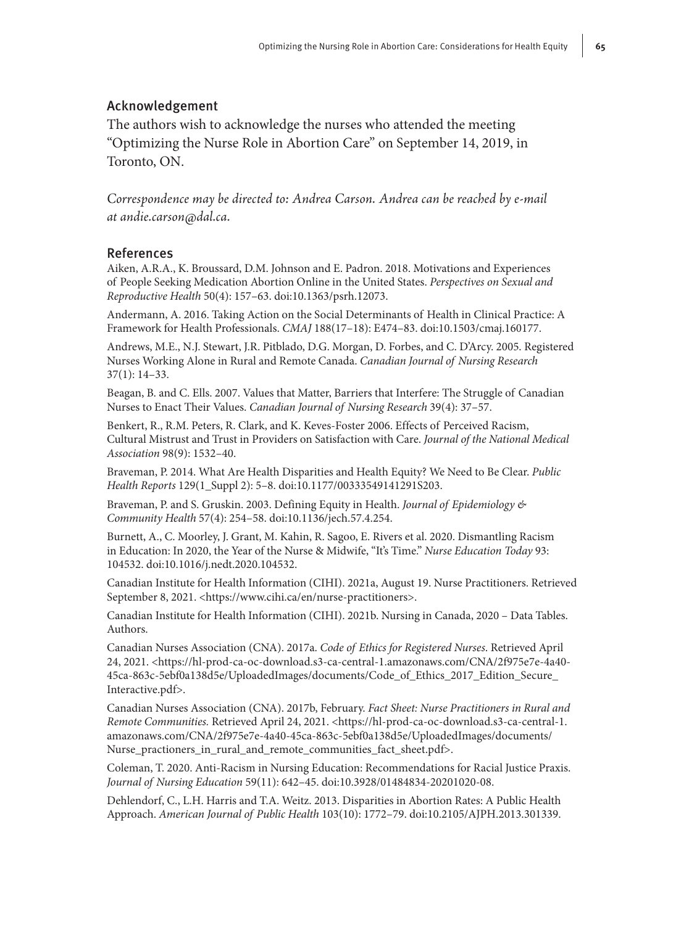#### Acknowledgement

The authors wish to acknowledge the nurses who attended the meeting "Optimizing the Nurse Role in Abortion Care" on September 14, 2019, in Toronto, ON.

*Correspondence may be directed to: Andrea Carson. Andrea can be reached by e-mail at [andie.carson@dal.ca](mailto:andie.carson@dal.ca).*

#### References

Aiken, A.R.A., K. Broussard, D.M. Johnson and E. Padron. 2018. Motivations and Experiences of People Seeking Medication Abortion Online in the United States. *Perspectives on Sexual and Reproductive Health* 50(4): 157–63. doi:10.1363/psrh.12073.

Andermann, A. 2016. Taking Action on the Social Determinants of Health in Clinical Practice: A Framework for Health Professionals. *CMAJ* 188(17–18): E474–83. doi:10.1503/cmaj.160177.

Andrews, M.E., N.J. Stewart, J.R. Pitblado, D.G. Morgan, D. Forbes, and C. D'Arcy. 2005. Registered Nurses Working Alone in Rural and Remote Canada. *Canadian Journal of Nursing Research* 37(1): 14–33.

Beagan, B. and C. Ells. 2007. Values that Matter, Barriers that Interfere: The Struggle of Canadian Nurses to Enact Their Values. *Canadian Journal of Nursing Research* 39(4): 37–57.

Benkert, R., R.M. Peters, R. Clark, and K. Keves-Foster 2006. Effects of Perceived Racism, Cultural Mistrust and Trust in Providers on Satisfaction with Care. *Journal of the National Medical Association* 98(9): 1532–40.

Braveman, P. 2014. What Are Health Disparities and Health Equity? We Need to Be Clear. *Public Health Reports* 129(1\_Suppl 2): 5–8. doi:10.1177/00333549141291S203.

Braveman, P. and S. Gruskin. 2003. Defining Equity in Health. *Journal of Epidemiology & Community Health* 57(4): 254–58. doi:10.1136/jech.57.4.254.

Burnett, A., C. Moorley, J. Grant, M. Kahin, R. Sagoo, E. Rivers et al. 2020. Dismantling Racism in Education: In 2020, the Year of the Nurse & Midwife, "It's Time." *Nurse Education Today* 93: 104532. doi:10.1016/j.nedt.2020.104532.

Canadian Institute for Health Information (CIHI). 2021a, August 19. Nurse Practitioners. Retrieved September 8, 2021. <<https://www.cihi.ca/en/nurse-practitioners>>.

Canadian Institute for Health Information (CIHI). 2021b. Nursing in Canada, 2020 – Data Tables. Authors.

Canadian Nurses Association (CNA). 2017a. *Code of Ethics for Registered Nurses*. Retrieved April 24, 2021. <[https://hl-prod-ca-oc-download.s3-ca-central-1.amazonaws.com/CNA/2f975e7e-4a40-](https://hl-prod-ca-oc-download.s3-ca-central-1.amazonaws.com/CNA/2f975e7e-4a40-45ca-863c-5ebf0a138d5e/UploadedImages/documents/Code_of_Ethics_2017_Edition_Secure_Interactive.pdf) [45ca-863c-5ebf0a138d5e/UploadedImages/documents/Code\\_of\\_Ethics\\_2017\\_Edition\\_Secure\\_](https://hl-prod-ca-oc-download.s3-ca-central-1.amazonaws.com/CNA/2f975e7e-4a40-45ca-863c-5ebf0a138d5e/UploadedImages/documents/Code_of_Ethics_2017_Edition_Secure_Interactive.pdf) [Interactive.pdf>](https://hl-prod-ca-oc-download.s3-ca-central-1.amazonaws.com/CNA/2f975e7e-4a40-45ca-863c-5ebf0a138d5e/UploadedImages/documents/Code_of_Ethics_2017_Edition_Secure_Interactive.pdf).

Canadian Nurses Association (CNA). 2017b, February. *Fact Sheet: Nurse Practitioners in Rural and Remote Communities.* Retrieved April 24, 2021. [<https://hl-prod-ca-oc-download.s3-ca-central-1.](https://hl-prod-ca-oc-download.s3-ca-central-1.amazonaws.com/CNA/2f975e7e-4a40-45ca-863c-5ebf0a138d5e/UploadedImages/documents/Nurse_practioners_in_rural_and_remote_communities_fact_sheet.pdf) [amazonaws.com/CNA/2f975e7e-4a40-45ca-863c-5ebf0a138d5e/UploadedImages/documents/](https://hl-prod-ca-oc-download.s3-ca-central-1.amazonaws.com/CNA/2f975e7e-4a40-45ca-863c-5ebf0a138d5e/UploadedImages/documents/Nurse_practioners_in_rural_and_remote_communities_fact_sheet.pdf) [Nurse\\_practioners\\_in\\_rural\\_and\\_remote\\_communities\\_fact\\_sheet.pdf>](https://hl-prod-ca-oc-download.s3-ca-central-1.amazonaws.com/CNA/2f975e7e-4a40-45ca-863c-5ebf0a138d5e/UploadedImages/documents/Nurse_practioners_in_rural_and_remote_communities_fact_sheet.pdf).

Coleman, T. 2020. Anti-Racism in Nursing Education: Recommendations for Racial Justice Praxis. *Journal of Nursing Education* 59(11): 642–45. doi:10.3928/01484834-20201020-08.

Dehlendorf, C., L.H. Harris and T.A. Weitz. 2013. Disparities in Abortion Rates: A Public Health Approach. *American Journal of Public Health* 103(10): 1772–79. doi:10.2105/AJPH.2013.301339.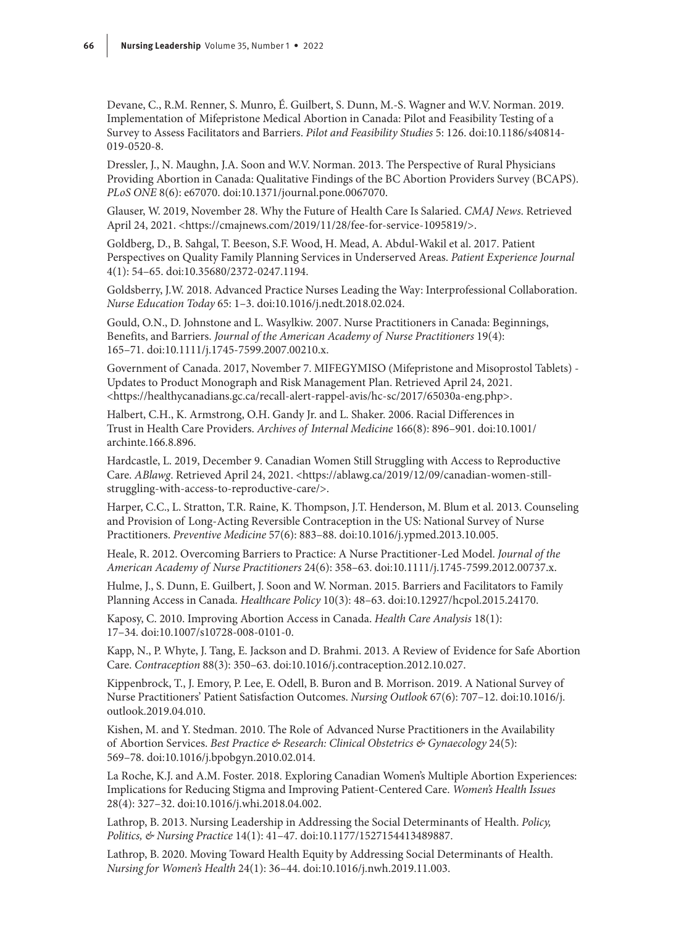Devane, C., R.M. Renner, S. Munro, É. Guilbert, S. Dunn, M.-S. Wagner and W.V. Norman. 2019. Implementation of Mifepristone Medical Abortion in Canada: Pilot and Feasibility Testing of a Survey to Assess Facilitators and Barriers. *Pilot and Feasibility Studies* 5: 126. doi:10.1186/s40814- 019-0520-8.

Dressler, J., N. Maughn, J.A. Soon and W.V. Norman. 2013. The Perspective of Rural Physicians Providing Abortion in Canada: Qualitative Findings of the BC Abortion Providers Survey (BCAPS). *PLoS ONE* 8(6): e67070. doi:10.1371/journal.pone.0067070.

Glauser, W. 2019, November 28. Why the Future of Health Care Is Salaried. *CMAJ News*. Retrieved April 24, 2021. [<https://cmajnews.com/2019/11/28/fee-for-service-1095819/](https://cmajnews.com/2019/11/28/fee-for-service-1095819/)>.

Goldberg, D., B. Sahgal, T. Beeson, S.F. Wood, H. Mead, A. Abdul-Wakil et al. 2017. Patient Perspectives on Quality Family Planning Services in Underserved Areas. *Patient Experience Journal*  4(1): 54–65. doi:10.35680/2372-0247.1194.

Goldsberry, J.W. 2018. Advanced Practice Nurses Leading the Way: Interprofessional Collaboration. *Nurse Education Today* 65: 1–3. doi:10.1016/j.nedt.2018.02.024.

Gould, O.N., D. Johnstone and L. Wasylkiw. 2007. Nurse Practitioners in Canada: Beginnings, Benefits, and Barriers. *Journal of the American Academy of Nurse Practitioners* 19(4): 165–71. doi:10.1111/j.1745-7599.2007.00210.x.

Government of Canada. 2017, November 7. MIFEGYMISO (Mifepristone and Misoprostol Tablets) - Updates to Product Monograph and Risk Management Plan. Retrieved April 24, 2021. <<https://healthycanadians.gc.ca/recall-alert-rappel-avis/hc-sc/2017/65030a-eng.php>>.

Halbert, C.H., K. Armstrong, O.H. Gandy Jr. and L. Shaker. 2006. Racial Differences in Trust in Health Care Providers. *Archives of Internal Medicine* 166(8): 896–901. doi:10.1001/ archinte.166.8.896.

Hardcastle, L. 2019, December 9. Canadian Women Still Struggling with Access to Reproductive Care. *ABlawg*. Retrieved April 24, 2021. [<https://ablawg.ca/2019/12/09/canadian-women-still](https://ablawg.ca/2019/12/09/canadian-women-still-struggling-with-access-to-reproductive-care/)[struggling-with-access-to-reproductive-care/>](https://ablawg.ca/2019/12/09/canadian-women-still-struggling-with-access-to-reproductive-care/).

Harper, C.C., L. Stratton, T.R. Raine, K. Thompson, J.T. Henderson, M. Blum et al. 2013. Counseling and Provision of Long-Acting Reversible Contraception in the US: National Survey of Nurse Practitioners. *Preventive Medicine* 57(6): 883–88. doi:10.1016/j.ypmed.2013.10.005.

Heale, R. 2012. Overcoming Barriers to Practice: A Nurse Practitioner‐Led Model. *Journal of the American Academy of Nurse Practitioners* 24(6): 358–63. doi:10.1111/j.1745-7599.2012.00737.x.

Hulme, J., S. Dunn, E. Guilbert, J. Soon and W. Norman. 2015. Barriers and Facilitators to Family Planning Access in Canada. *Healthcare Policy* 10(3): 48–63. doi:10.12927/hcpol.2015.24170.

Kaposy, C. 2010. Improving Abortion Access in Canada. *Health Care Analysis* 18(1): 17–34. doi:10.1007/s10728-008-0101-0.

Kapp, N., P. Whyte, J. Tang, E. Jackson and D. Brahmi. 2013. A Review of Evidence for Safe Abortion Care. *Contraception* 88(3): 350–63. doi:10.1016/j.contraception.2012.10.027.

Kippenbrock, T., J. Emory, P. Lee, E. Odell, B. Buron and B. Morrison. 2019. A National Survey of Nurse Practitioners' Patient Satisfaction Outcomes. *Nursing Outlook* 67(6): 707–12. doi:10.1016/j. outlook.2019.04.010.

Kishen, M. and Y. Stedman. 2010. The Role of Advanced Nurse Practitioners in the Availability of Abortion Services. *Best Practice & Research: Clinical Obstetrics & Gynaecology* 24(5): 569–78. doi:10.1016/j.bpobgyn.2010.02.014.

La Roche, K.J. and A.M. Foster. 2018. Exploring Canadian Women's Multiple Abortion Experiences: Implications for Reducing Stigma and Improving Patient-Centered Care. *Women's Health Issues* 28(4): 327–32. doi:10.1016/j.whi.2018.04.002.

Lathrop, B. 2013. Nursing Leadership in Addressing the Social Determinants of Health. *Policy, Politics, & Nursing Practice* 14(1): 41–47. doi:10.1177/1527154413489887.

Lathrop, B. 2020. Moving Toward Health Equity by Addressing Social Determinants of Health. *Nursing for Women's Health* 24(1): 36–44. doi:10.1016/j.nwh.2019.11.003.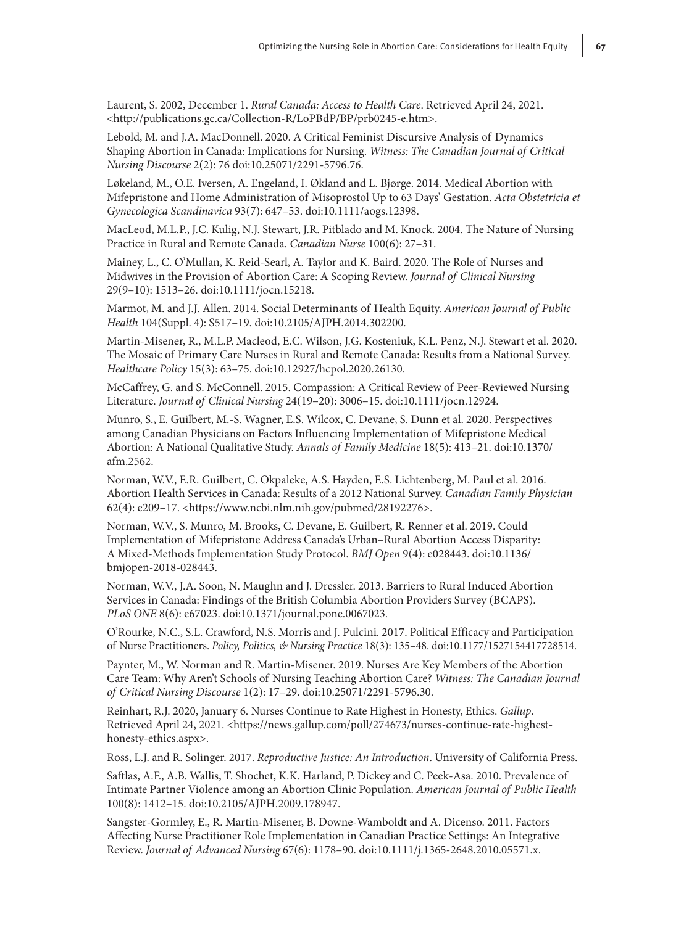Laurent, S. 2002, December 1. *Rural Canada: Access to Health Care*. Retrieved April 24, 2021. <[http://publications.gc.ca/Collection-R/LoPBdP/BP/prb0245-e.htm>](http://publications.gc.ca/Collection-R/LoPBdP/BP/prb0245-e.htm).

Lebold, M. and J.A. MacDonnell. 2020. A Critical Feminist Discursive Analysis of Dynamics Shaping Abortion in Canada: Implications for Nursing. *Witness: The Canadian Journal of Critical Nursing Discourse* 2(2): 76 doi:10.25071/2291-5796.76.

Løkeland, M., O.E. Iversen, A. Engeland, I. Økland and L. Bjørge. 2014. Medical Abortion with Mifepristone and Home Administration of Misoprostol Up to 63 Days' Gestation. *Acta Obstetricia et Gynecologica Scandinavica* 93(7): 647–53. doi:10.1111/aogs.12398.

MacLeod, M.L.P., J.C. Kulig, N.J. Stewart, J.R. Pitblado and M. Knock. 2004. The Nature of Nursing Practice in Rural and Remote Canada. *Canadian Nurse* 100(6): 27–31.

Mainey, L., C. O'Mullan, K. Reid-Searl, A. Taylor and K. Baird. 2020. The Role of Nurses and Midwives in the Provision of Abortion Care: A Scoping Review. *Journal of Clinical Nursing* 29(9–10): 1513–26. doi:10.1111/jocn.15218.

Marmot, M. and J.J. Allen. 2014. Social Determinants of Health Equity. *American Journal of Public Health* 104(Suppl. 4): S517–19. doi:10.2105/AJPH.2014.302200.

Martin-Misener, R., M.L.P. Macleod, E.C. Wilson, J.G. Kosteniuk, K.L. Penz, N.J. Stewart et al. 2020. The Mosaic of Primary Care Nurses in Rural and Remote Canada: Results from a National Survey. *Healthcare Policy* 15(3): 63–75. doi:10.12927/hcpol.2020.26130.

McCaffrey, G. and S. McConnell. 2015. Compassion: A Critical Review of Peer‐Reviewed Nursing Literature. *Journal of Clinical Nursing* 24(19–20): 3006–15. doi:10.1111/jocn.12924.

Munro, S., E. Guilbert, M.-S. Wagner, E.S. Wilcox, C. Devane, S. Dunn et al. 2020. Perspectives among Canadian Physicians on Factors Influencing Implementation of Mifepristone Medical Abortion: A National Qualitative Study. *Annals of Family Medicine* 18(5): 413–21. doi:10.1370/ afm.2562.

Norman, W.V., E.R. Guilbert, C. Okpaleke, A.S. Hayden, E.S. Lichtenberg, M. Paul et al. 2016. Abortion Health Services in Canada: Results of a 2012 National Survey. *Canadian Family Physician* 62(4): e209–17. [<https://www.ncbi.nlm.nih.gov/pubmed/28192276>](https://www.ncbi.nlm.nih.gov/pubmed/28192276).

Norman, W.V., S. Munro, M. Brooks, C. Devane, E. Guilbert, R. Renner et al. 2019. Could Implementation of Mifepristone Address Canada's Urban–Rural Abortion Access Disparity: A Mixed-Methods Implementation Study Protocol. *BMJ Open* 9(4): e028443. doi:10.1136/ bmjopen-2018-028443.

Norman, W.V., J.A. Soon, N. Maughn and J. Dressler. 2013. Barriers to Rural Induced Abortion Services in Canada: Findings of the British Columbia Abortion Providers Survey (BCAPS). *PLoS ONE* 8(6): e67023. doi:10.1371/journal.pone.0067023.

O'Rourke, N.C., S.L. Crawford, N.S. Morris and J. Pulcini. 2017. Political Efficacy and Participation of Nurse Practitioners. *Policy, Politics, & Nursing Practice* 18(3): 135–48. doi:10.1177/1527154417728514.

Paynter, M., W. Norman and R. Martin-Misener. 2019. Nurses Are Key Members of the Abortion Care Team: Why Aren't Schools of Nursing Teaching Abortion Care? *Witness: The Canadian Journal of Critical Nursing Discourse* 1(2): 17–29. doi:10.25071/2291-5796.30.

Reinhart, R.J. 2020, January 6. Nurses Continue to Rate Highest in Honesty, Ethics. *Gallup*. Retrieved April 24, 2021. [<https://news.gallup.com/poll/274673/nurses-continue-rate-highest](https://news.gallup.com/poll/274673/nurses-continue-rate-highest-honesty-ethics.aspx)[honesty-ethics.aspx](https://news.gallup.com/poll/274673/nurses-continue-rate-highest-honesty-ethics.aspx)>.

Ross, L.J. and R. Solinger. 2017. *Reproductive Justice: An Introduction*. University of California Press.

Saftlas, A.F., A.B. Wallis, T. Shochet, K.K. Harland, P. Dickey and C. Peek-Asa. 2010. Prevalence of Intimate Partner Violence among an Abortion Clinic Population. *American Journal of Public Health* 100(8): 1412–15. doi:10.2105/AJPH.2009.178947.

Sangster‐Gormley, E., R. Martin‐Misener, B. Downe‐Wamboldt and A. Dicenso. 2011. Factors Affecting Nurse Practitioner Role Implementation in Canadian Practice Settings: An Integrative Review. *Journal of Advanced Nursing* 67(6): 1178–90. doi:10.1111/j.1365-2648.2010.05571.x.